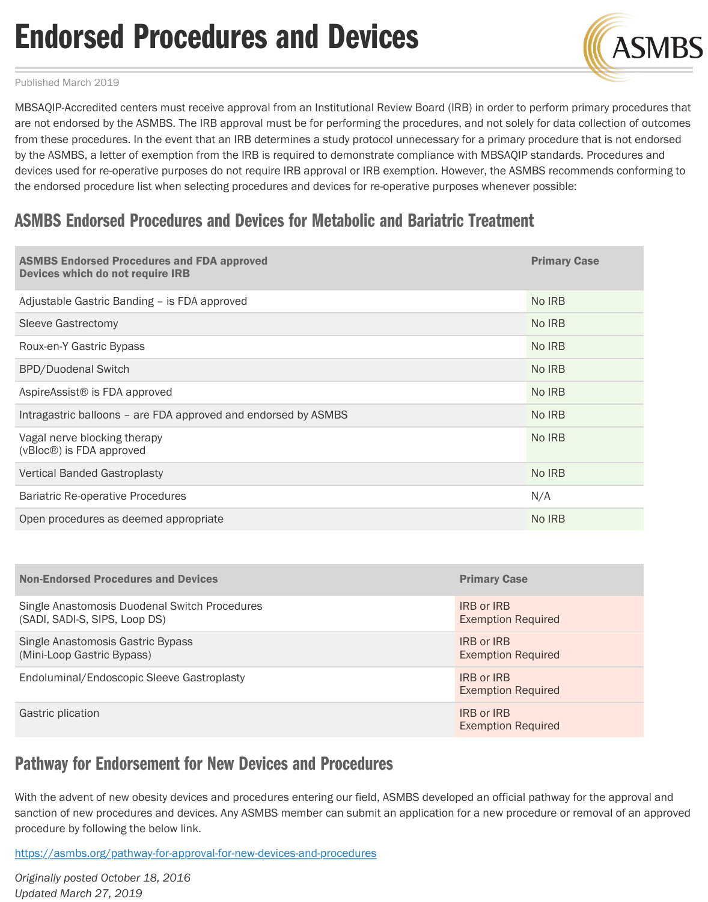are not endorsed by the ASMBS. The IRB approval must be for performing the procedures, and not solely for data collection of outcomes from these procedures. In the event that an IRB determines a study protocol unnecessary for a primary procedure that by the ASMBS, a letter of exemption from the IRB is required to demonstrate compliance with MBSAQIP standards. Pro devices used for re-operative purposes do not require IRB approval or IRB exemption. However, the ASMBS recommen the endorsed procedure list when selecting procedures and devices for re-operative purposes whenever possible:

## ASMBS Endorsed Procedures and Devices for Metabolic and Bariatric Treatment

| <b>ASMBS Endorsed Procedures and FDA approved</b><br>Devices which do not require IRB | <b>Primary Case</b> |
|---------------------------------------------------------------------------------------|---------------------|
| Adjustable Gastric Banding - is FDA approved                                          | No IRB              |
| <b>Sleeve Gastrectomy</b>                                                             | No IRB              |
| Roux-en-Y Gastric Bypass                                                              | No IRB              |
| <b>BPD/Duodenal Switch</b>                                                            | No IRB              |
| AspireAssist <sup>®</sup> is FDA approved                                             | No IRB              |
| Intragastric balloons – are FDA approved and endorsed by ASMBS                        | No IRB              |
| Vagal nerve blocking therapy<br>(vBloc <sup>®</sup> ) is FDA approved                 | No IRB              |
| <b>Vertical Banded Gastroplasty</b>                                                   | No IRB              |
| <b>Bariatric Re-operative Procedures</b>                                              | N/A                 |
| Open procedures as deemed appropriate                                                 | No IRB              |

| <b>Non-Endorsed Procedures and Devices</b>                                     | <b>Primary Case</b>                            |
|--------------------------------------------------------------------------------|------------------------------------------------|
| Single Anastomosis Duodenal Switch Procedures<br>(SADI, SADI-S, SIPS, Loop DS) | <b>IRB or IRB</b><br><b>Exemption Required</b> |
| Single Anastomosis Gastric Bypass<br>(Mini-Loop Gastric Bypass)                | <b>IRB or IRB</b><br><b>Exemption Required</b> |
| Endoluminal/Endoscopic Sleeve Gastroplasty                                     | <b>IRB or IRB</b><br><b>Exemption Required</b> |
| Gastric plication                                                              | <b>IRB or IRB</b><br><b>Exemption Required</b> |

## Pathway for Endorsement for New Devices and Procedures

With the advent of new obesity devices and procedures entering our field, ASMBS developed an official pathway for the sanction of new procedures and devices. Any ASMBS member can submit an application for a new procedure or remov procedure by following the below link.

https://asmbs.org/pathway-for-approval-for-new-devices-and-procedures

*Originally posted October 18, 2016 Updated March 27, 2019*